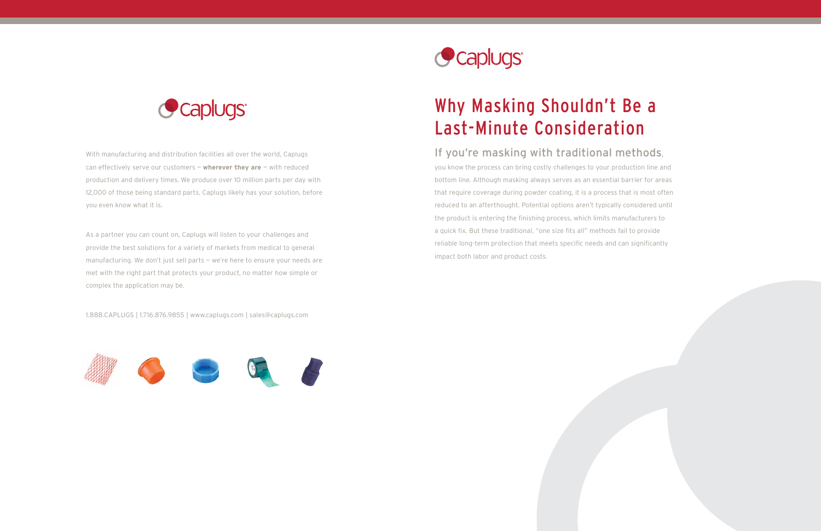# Why Masking Shouldn't Be a Last-Minute Consideration

# If you're masking with traditional methods,

you know the process can bring costly challenges to your production line and bottom line. Although masking always serves as an essential barrier for areas that require coverage during powder coating, it is a process that is most often reduced to an afterthought. Potential options aren't typically considered until the product is entering the finishing process, which limits manufacturers to a quick fix. But these traditional, "one size fits all" methods fail to provide reliable long-term protection that meets specific needs and can significantly impact both labor and product costs.



With manufacturing and distribution facilities all over the world, Caplugs can effectively serve our customers — **wherever they are** — with reduced production and delivery times. We produce over 10 million parts per day with 12,000 of those being standard parts. Caplugs likely has your solution, before you even know what it is.

As a partner you can count on, Caplugs will listen to your challenges and provide the best solutions for a variety of markets from medical to general manufacturing. We don't just sell parts — we're here to ensure your needs are met with the right part that protects your product, no matter how simple or complex the application may be.

1.888.CAPLUGS | 1.716.876.9855 | www.caplugs.com | sales@caplugs.com